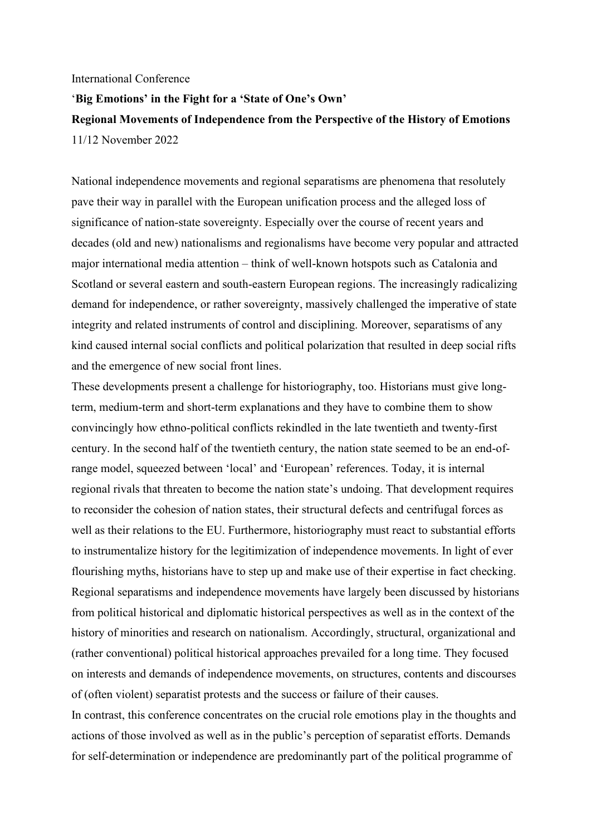## International Conference

## '**Big Emotions' in the Fight for a 'State of One's Own' Regional Movements of Independence from the Perspective of the History of Emotions** 11/12 November 2022

National independence movements and regional separatisms are phenomena that resolutely pave their way in parallel with the European unification process and the alleged loss of significance of nation-state sovereignty. Especially over the course of recent years and decades (old and new) nationalisms and regionalisms have become very popular and attracted major international media attention – think of well-known hotspots such as Catalonia and Scotland or several eastern and south-eastern European regions. The increasingly radicalizing demand for independence, or rather sovereignty, massively challenged the imperative of state integrity and related instruments of control and disciplining. Moreover, separatisms of any kind caused internal social conflicts and political polarization that resulted in deep social rifts and the emergence of new social front lines.

These developments present a challenge for historiography, too. Historians must give longterm, medium-term and short-term explanations and they have to combine them to show convincingly how ethno-political conflicts rekindled in the late twentieth and twenty-first century. In the second half of the twentieth century, the nation state seemed to be an end-ofrange model, squeezed between 'local' and 'European' references. Today, it is internal regional rivals that threaten to become the nation state's undoing. That development requires to reconsider the cohesion of nation states, their structural defects and centrifugal forces as well as their relations to the EU. Furthermore, historiography must react to substantial efforts to instrumentalize history for the legitimization of independence movements. In light of ever flourishing myths, historians have to step up and make use of their expertise in fact checking. Regional separatisms and independence movements have largely been discussed by historians from political historical and diplomatic historical perspectives as well as in the context of the history of minorities and research on nationalism. Accordingly, structural, organizational and (rather conventional) political historical approaches prevailed for a long time. They focused on interests and demands of independence movements, on structures, contents and discourses of (often violent) separatist protests and the success or failure of their causes.

In contrast, this conference concentrates on the crucial role emotions play in the thoughts and actions of those involved as well as in the public's perception of separatist efforts. Demands for self-determination or independence are predominantly part of the political programme of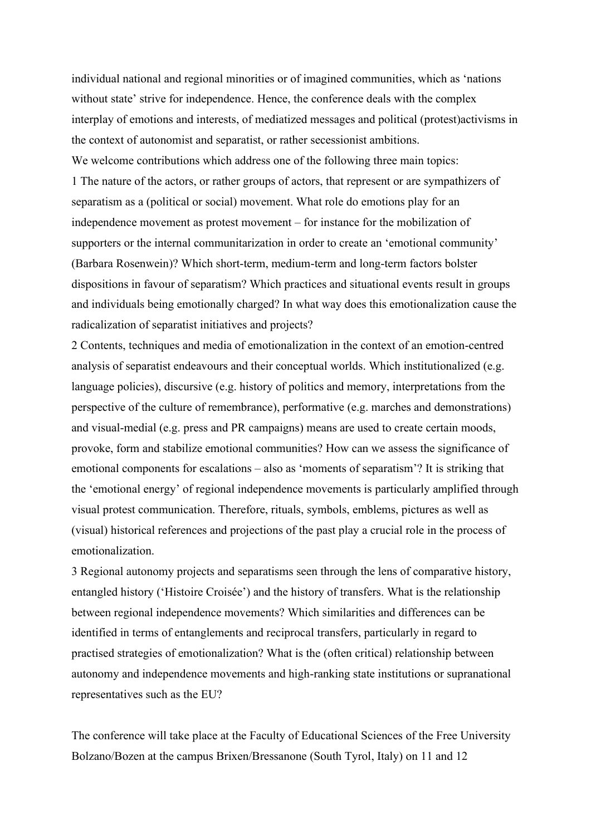individual national and regional minorities or of imagined communities, which as 'nations without state' strive for independence. Hence, the conference deals with the complex interplay of emotions and interests, of mediatized messages and political (protest)activisms in the context of autonomist and separatist, or rather secessionist ambitions. We welcome contributions which address one of the following three main topics: 1 The nature of the actors, or rather groups of actors, that represent or are sympathizers of separatism as a (political or social) movement. What role do emotions play for an independence movement as protest movement – for instance for the mobilization of supporters or the internal communitarization in order to create an 'emotional community' (Barbara Rosenwein)? Which short-term, medium-term and long-term factors bolster dispositions in favour of separatism? Which practices and situational events result in groups and individuals being emotionally charged? In what way does this emotionalization cause the radicalization of separatist initiatives and projects?

2 Contents, techniques and media of emotionalization in the context of an emotion-centred analysis of separatist endeavours and their conceptual worlds. Which institutionalized (e.g. language policies), discursive (e.g. history of politics and memory, interpretations from the perspective of the culture of remembrance), performative (e.g. marches and demonstrations) and visual-medial (e.g. press and PR campaigns) means are used to create certain moods, provoke, form and stabilize emotional communities? How can we assess the significance of emotional components for escalations – also as 'moments of separatism'? It is striking that the 'emotional energy' of regional independence movements is particularly amplified through visual protest communication. Therefore, rituals, symbols, emblems, pictures as well as (visual) historical references and projections of the past play a crucial role in the process of emotionalization.

3 Regional autonomy projects and separatisms seen through the lens of comparative history, entangled history ('Histoire Croisée') and the history of transfers. What is the relationship between regional independence movements? Which similarities and differences can be identified in terms of entanglements and reciprocal transfers, particularly in regard to practised strategies of emotionalization? What is the (often critical) relationship between autonomy and independence movements and high-ranking state institutions or supranational representatives such as the EU?

The conference will take place at the Faculty of Educational Sciences of the Free University Bolzano/Bozen at the campus Brixen/Bressanone (South Tyrol, Italy) on 11 and 12